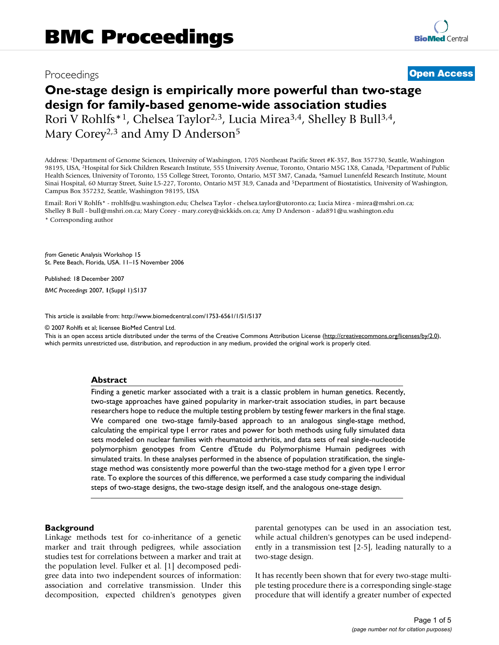# Proceedings **[Open Access](http://www.biomedcentral.com/info/about/charter/)**

# **One-stage design is empirically more powerful than two-stage design for family-based genome-wide association studies** Rori V Rohlfs\*1, Chelsea Taylor2,3, Lucia Mirea3,4, Shelley B Bull3,4, Mary Corey<sup>2,3</sup> and Amy D Anderson<sup>5</sup>

Address: 1Department of Genome Sciences, University of Washington, 1705 Northeast Pacific Street #K-357, Box 357730, Seattle, Washington 98195, USA, <sup>2</sup>Hospital for Sick Children Research Institute, 555 University Avenue, Toronto, Ontario M5G 1X8, Canada, <sup>3</sup>Department of Public Health Sciences, University of Toronto, 155 College Street, Toronto, Ontario, M5T 3M7, Canada, 4Samuel Lunenfeld Research Institute, Mount Sinai Hospital, 60 Murray Street, Suite L5-227, Toronto, Ontario M5T 3L9, Canada and 5Department of Biostatistics, University of Washington, Campus Box 357232, Seattle, Washington 98195, USA

Email: Rori V Rohlfs\* - rrohlfs@u.washington.edu; Chelsea Taylor - chelsea.taylor@utoronto.ca; Lucia Mirea - mirea@mshri.on.ca; Shelley B Bull - bull@mshri.on.ca; Mary Corey - mary.corey@sickkids.on.ca; Amy D Anderson - ada891@u.washington.edu \* Corresponding author

*from* Genetic Analysis Workshop 15 St. Pete Beach, Florida, USA. 11–15 November 2006

Published: 18 December 2007

*BMC Proceedings* 2007, **1**(Suppl 1):S137

[This article is available from: http://www.biomedcentral.com/1753-6561/1/S1/S137](http://www.biomedcentral.com/1753-6561/1/S1/S137)

© 2007 Rohlfs et al; licensee BioMed Central Ltd.

This is an open access article distributed under the terms of the Creative Commons Attribution License [\(http://creativecommons.org/licenses/by/2.0\)](http://creativecommons.org/licenses/by/2.0), which permits unrestricted use, distribution, and reproduction in any medium, provided the original work is properly cited.

# **Abstract**

Finding a genetic marker associated with a trait is a classic problem in human genetics. Recently, two-stage approaches have gained popularity in marker-trait association studies, in part because researchers hope to reduce the multiple testing problem by testing fewer markers in the final stage. We compared one two-stage family-based approach to an analogous single-stage method, calculating the empirical type I error rates and power for both methods using fully simulated data sets modeled on nuclear families with rheumatoid arthritis, and data sets of real single-nucleotide polymorphism genotypes from Centre d'Etude du Polymorphisme Humain pedigrees with simulated traits. In these analyses performed in the absence of population stratification, the singlestage method was consistently more powerful than the two-stage method for a given type I error rate. To explore the sources of this difference, we performed a case study comparing the individual steps of two-stage designs, the two-stage design itself, and the analogous one-stage design.

#### **Background**

Linkage methods test for co-inheritance of a genetic marker and trait through pedigrees, while association studies test for correlations between a marker and trait at the population level. Fulker et al. [1] decomposed pedigree data into two independent sources of information: association and correlative transmission. Under this decomposition, expected children's genotypes given parental genotypes can be used in an association test, while actual children's genotypes can be used independently in a transmission test [2-5], leading naturally to a two-stage design.

It has recently been shown that for every two-stage multiple testing procedure there is a corresponding single-stage procedure that will identify a greater number of expected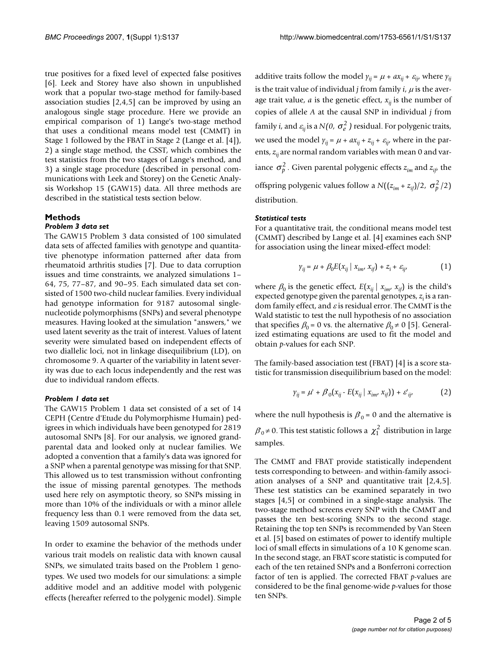true positives for a fixed level of expected false positives [6]. Leek and Storey have also shown in unpublished work that a popular two-stage method for family-based association studies [2,4,5] can be improved by using an analogous single stage procedure. Here we provide an empirical comparison of 1) Lange's two-stage method that uses a conditional means model test (CMMT) in Stage 1 followed by the FBAT in Stage 2 (Lange et al. [4]), 2) a single stage method, the CSST, which combines the test statistics from the two stages of Lange's method, and 3) a single stage procedure (described in personal communications with Leek and Storey) on the Genetic Analysis Workshop 15 (GAW15) data. All three methods are described in the statistical tests section below.

# **Methods**

# *Problem 3 data set*

The GAW15 Problem 3 data consisted of 100 simulated data sets of affected families with genotype and quantitative phenotype information patterned after data from rheumatoid arthritis studies [7]. Due to data corruption issues and time constraints, we analyzed simulations 1– 64, 75, 77–87, and 90–95. Each simulated data set consisted of 1500 two-child nuclear families. Every individual had genotype information for 9187 autosomal singlenucleotide polymorphisms (SNPs) and several phenotype measures. Having looked at the simulation "answers," we used latent severity as the trait of interest. Values of latent severity were simulated based on independent effects of two diallelic loci, not in linkage disequilibrium (LD), on chromosome 9. A quarter of the variability in latent severity was due to each locus independently and the rest was due to individual random effects.

#### *Problem 1 data set*

The GAW15 Problem 1 data set consisted of a set of 14 CEPH (Centre d'Etude du Polymorphisme Humain) pedigrees in which individuals have been genotyped for 2819 autosomal SNPs [8]. For our analysis, we ignored grandparental data and looked only at nuclear families. We adopted a convention that a family's data was ignored for a SNP when a parental genotype was missing for that SNP. This allowed us to test transmission without confronting the issue of missing parental genotypes. The methods used here rely on asymptotic theory, so SNPs missing in more than 10% of the individuals or with a minor allele frequency less than 0.1 were removed from the data set, leaving 1509 autosomal SNPs.

In order to examine the behavior of the methods under various trait models on realistic data with known causal SNPs, we simulated traits based on the Problem 1 genotypes. We used two models for our simulations: a simple additive model and an additive model with polygenic effects (hereafter referred to the polygenic model). Simple additive traits follow the model  $\gamma_{ii} = \mu + ax_{ii} + \varepsilon_{ii}$ , where  $\gamma_{ii}$ is the trait value of individual  $j$  from family  $i$ ,  $\mu$  is the average trait value,  $a$  is the genetic effect,  $x_{ii}$  is the number of copies of allele *A* at the causal SNP in individual *j* from family *i,* and  $\varepsilon_{\mathsf{i}\mathsf{j}}$  is a N(0,  $\sigma_{e}^2$  ) residual. For polygenic traits, we used the model  $\gamma_{ii} = \mu + ax_{ii} + z_{ii} + \varepsilon_{ii}$ , where in the parents,  $z_{ii}$  are normal random variables with mean 0 and variance  $\sigma_p^2$ . Given parental polygenic effects  $z_{im}$  and  $z_{if}$  the offspring polygenic values follow a  $N((z_{im} + z_{if})/2, \sigma_p^2/2)$ distribution.

#### *Statistical tests*

For a quantitative trait, the conditional means model test (CMMT) described by Lange et al. [4] examines each SNP for association using the linear mixed-effect model:

$$
\gamma_{ij} = \mu + \beta_0 E(x_{ij} \mid x_{im}, x_{if}) + z_i + \varepsilon_{ij'}
$$
 (1)

where  $\beta_0$  is the genetic effect,  $E(x_{ij} | x_{im}, x_{if})$  is the child's expected genotype given the parental genotypes,  $z_i$  is a random family effect, and  $\varepsilon$  is residual error. The CMMT is the Wald statistic to test the null hypothesis of no association that specifies  $\beta_0 = 0$  vs. the alternative  $\beta_0 \neq 0$  [5]. Generalized estimating equations are used to fit the model and obtain *p*-values for each SNP.

The family-based association test (FBAT) [4] is a score statistic for transmission disequilibrium based on the model:

$$
\gamma_{ij} = \mu' + \beta_0 (x_{ij} - E(x_{ij} \mid x_{im}, x_{if})) + \varepsilon'_{ij},
$$
 (2)

where the null hypothesis is  $\beta_0$  = 0 and the alternative is  $\beta_0 \neq 0$ . This test statistic follows a  $\chi_1^2$  distribution in large samples.

The CMMT and FBAT provide statistically independent tests corresponding to between- and within-family association analyses of a SNP and quantitative trait [2,4,5]. These test statistics can be examined separately in two stages [4,5] or combined in a single-stage analysis. The two-stage method screens every SNP with the CMMT and passes the ten best-scoring SNPs to the second stage. Retaining the top ten SNPs is recommended by Van Steen et al. [5] based on estimates of power to identify multiple loci of small effects in simulations of a 10 K genome scan. In the second stage, an FBAT score statistic is computed for each of the ten retained SNPs and a Bonferroni correction factor of ten is applied. The corrected FBAT *p*-values are considered to be the final genome-wide *p*-values for those ten SNPs.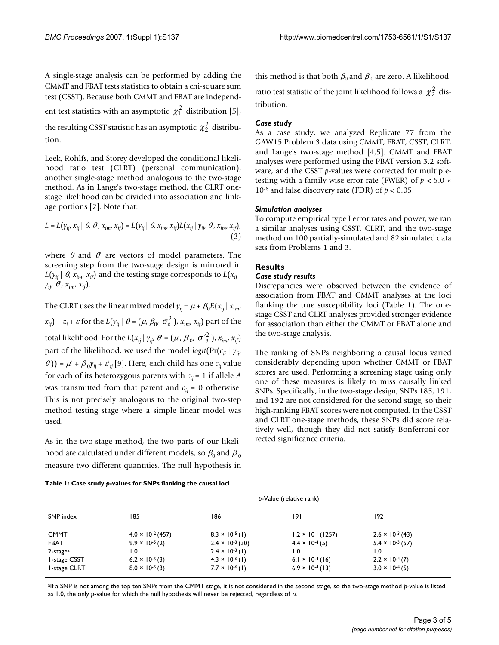A single-stage analysis can be performed by adding the CMMT and FBAT tests statistics to obtain a chi-square sum test (CSST). Because both CMMT and FBAT are independent test statistics with an asymptotic  $\chi_1^2$  distribution [5], the resulting CSST statistic has an asymptotic  $\chi_2^2$  distribution.

Leek, Rohlfs, and Storey developed the conditional likelihood ratio test (CLRT) (personal communication), another single-stage method analogous to the two-stage method. As in Lange's two-stage method, the CLRT onestage likelihood can be divided into association and linkage portions [2]. Note that:

$$
L = L(\gamma_{ij}, x_{ij} \mid \theta, \theta, x_{im}, x_{if}) = L(\gamma_{ij} \mid \theta, x_{im}, x_{if}) L(x_{ij} \mid \gamma_{ij}, \theta, x_{im}, x_{if}),
$$
\n(3)

where  $\theta$  and  $\theta$  are vectors of model parameters. The screening step from the two-stage design is mirrored in  $L(y_{ij} | \theta, x_{im}, x_{if})$  and the testing stage corresponds to  $L(x_{ij} | \theta, x_{im}, x_{if})$  $y_{ij}, \theta, x_{im}, x_{if}$ ).

The CLRT uses the linear mixed model  $\gamma_{ij} = \mu + \beta_0 E(x_{ij} | x_{im}$  $f(x_{if}) + z_i + \varepsilon$  for the  $L(y_{ij} | \theta = (\mu, \beta_0, \sigma_e^2)$ ,  $x_{im}$ ,  $x_{if}$ ) part of the total likelihood. For the  $L(x_{ij} | y_{ij}, \theta = (\mu', \beta_0, \sigma'^2_{\theta})$ ,  $x_{im}, x_{if}$ ) part of the likelihood, we used the model *logit*( $Pr(c_{ij} | y_{ij})$  $\theta$ )) =  $\mu'$  +  $\beta_0 \gamma_{ij}$  +  $\varepsilon'_{ij}$  [9]. Here, each child has one  $c_{ij}$  value for each of its heterozygous parents with  $c_{ij} = 1$  if allele *A* was transmitted from that parent and  $c_{ii} = 0$  otherwise. This is not precisely analogous to the original two-step method testing stage where a simple linear model was used.

As in the two-stage method, the two parts of our likelihood are calculated under different models, so  $\beta_0$  and  $\boldsymbol{\beta}_0$ measure two different quantities. The null hypothesis in

this method is that both  $\beta_0$  and  $\beta_0$  are zero. A likelihoodratio test statistic of the joint likelihood follows a  $\chi^2_2$  distribution.

#### *Case study*

As a case study, we analyzed Replicate 77 from the GAW15 Problem 3 data using CMMT, FBAT, CSST, CLRT, and Lange's two-stage method [4,5]. CMMT and FBAT analyses were performed using the PBAT version 3.2 software, and the CSST *p*-values were corrected for multipletesting with a family-wise error rate (FWER) of *p* < 5.0 × 10<sup>-8</sup> and false discovery rate (FDR) of  $p < 0.05$ .

#### *Simulation analyses*

To compute empirical type I error rates and power, we ran a similar analyses using CSST, CLRT, and the two-stage method on 100 partially-simulated and 82 simulated data sets from Problems 1 and 3.

## **Results**

#### *Case study results*

Discrepancies were observed between the evidence of association from FBAT and CMMT analyses at the loci flanking the true susceptibility loci (Table 1). The onestage CSST and CLRT analyses provided stronger evidence for association than either the CMMT or FBAT alone and the two-stage analysis.

The ranking of SNPs neighboring a causal locus varied considerably depending upon whether CMMT or FBAT scores are used. Performing a screening stage using only one of these measures is likely to miss causally linked SNPs. Specifically, in the two-stage design, SNPs 185, 191, and 192 are not considered for the second stage, so their high-ranking FBAT scores were not computed. In the CSST and CLRT one-stage methods, these SNPs did score relatively well, though they did not satisfy Bonferroni-corrected significance criteria.

| SNP index               | p-Value (relative rank)    |                           |                                    |                           |  |
|-------------------------|----------------------------|---------------------------|------------------------------------|---------------------------|--|
|                         | 185                        | 186                       | 191                                | 192                       |  |
| <b>CMMT</b>             | $4.0 \times 10^{-2} (457)$ | $8.3 \times 10^{-5}$ (1)  | $1.2 \times 10^{-1}$ (1257)        | $2.6 \times 10^{-3}$ (43) |  |
| <b>FBAT</b>             | $9.9 \times 10^{-5}$ (2)   | $2.4 \times 10^{-3}$ (30) | $4.4 \times 10^{-4}(5)$            | $5.4 \times 10^{-3}$ (57) |  |
| $2$ -stage <sup>a</sup> | 0. ا                       | $2.4 \times 10^{-3}$ (1)  | 1.0                                | 1.0                       |  |
| I-stage CSST            | $6.2 \times 10^{-5}$ (3)   | $4.3 \times 10^{-6}$ (1)  | 6.1 $\times$ 10 <sup>-4</sup> (16) | $2.2 \times 10^{-4}$ (7)  |  |
| I-stage CLRT            | $8.0 \times 10^{-5}$ (3)   | $7.7 \times 10^{-6}$ (1)  | $6.9 \times 10^{-4}$ (13)          | $3.0 \times 10^{-4}$ (5)  |  |

**Table 1: Case study** *p***-values for SNPs flanking the causal loci**

aIf a SNP is not among the top ten SNPs from the CMMT stage, it is not considered in the second stage, so the two-stage method p-value is listed as 1.0, the only *p*-value for which the null hypothesis will never be rejected, regardless of α.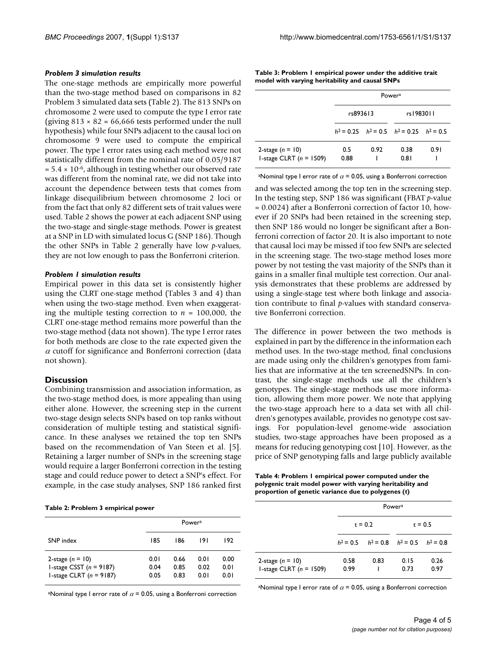#### *Problem 3 simulation results*

The one-stage methods are empirically more powerful than the two-stage method based on comparisons in 82 Problem 3 simulated data sets (Table 2). The 813 SNPs on chromosome 2 were used to compute the type I error rate (giving  $813 \times 82 = 66,666$  tests performed under the null hypothesis) while four SNPs adjacent to the causal loci on chromosome 9 were used to compute the empirical power. The type I error rates using each method were not statistically different from the nominal rate of 0.05/9187  $= 5.4 \times 10^{-6}$ , although in testing whether our observed rate was different from the nominal rate, we did not take into account the dependence between tests that comes from linkage disequilibrium between chromosome 2 loci or from the fact that only 82 different sets of trait values were used. Table 2 shows the power at each adjacent SNP using the two-stage and single-stage methods. Power is greatest at a SNP in LD with simulated locus G (SNP 186). Though the other SNPs in Table 2 generally have low *p*-values, they are not low enough to pass the Bonferroni criterion.

### *Problem 1 simulation results*

Empirical power in this data set is consistently higher using the CLRT one-stage method (Tables 3 and 4) than when using the two-stage method. Even when exaggerating the multiple testing correction to  $n = 100,000$ , the CLRT one-stage method remains more powerful than the two-stage method (data not shown). The type I error rates for both methods are close to the rate expected given the  $\alpha$  cutoff for significance and Bonferroni correction (data not shown).

# **Discussion**

Combining transmission and association information, as the two-stage method does, is more appealing than using either alone. However, the screening step in the current two-stage design selects SNPs based on top ranks without consideration of multiple testing and statistical significance. In these analyses we retained the top ten SNPs based on the recommendation of Van Steen et al. [5]. Retaining a larger number of SNPs in the screening stage would require a larger Bonferroni correction in the testing stage and could reduce power to detect a SNP's effect. For example, in the case study analyses, SNP 186 ranked first

**Table 2: Problem 3 empirical power**

|                                                                              |                      | Power <sup>a</sup>   |                      |                      |
|------------------------------------------------------------------------------|----------------------|----------------------|----------------------|----------------------|
| SNP index                                                                    | 185                  | 186                  | 191                  | 192                  |
| 2-stage $(n = 10)$<br>I-stage CSST $(n = 9187)$<br>I-stage CLRT $(n = 9187)$ | 0.01<br>0.04<br>0.05 | 0.66<br>0.85<br>0.83 | 0.01<br>0.02<br>0.01 | 0.00<br>0.01<br>0.01 |

aNominal type I error rate of  $\alpha$  = 0.05, using a Bonferroni correction

**Table 3: Problem 1 empirical power under the additive trait model with varying heritability and causal SNPs**

|                                                 | Power <sup>a</sup> |      |                                                   |      |
|-------------------------------------------------|--------------------|------|---------------------------------------------------|------|
|                                                 | rs893613           |      | rs1983011                                         |      |
|                                                 |                    |      | $h^2 = 0.25$ $h^2 = 0.5$ $h^2 = 0.25$ $h^2 = 0.5$ |      |
| 2-stage $(n = 10)$<br>1-stage CLRT $(n = 1509)$ | 0.5<br>0.88        | 0.92 | 0.38<br>0.81                                      | 0.91 |

aNominal type I error rate of  $\alpha$  = 0.05, using a Bonferroni correction

and was selected among the top ten in the screening step. In the testing step, SNP 186 was significant (FBAT *p*-value = 0.0024) after a Bonferroni correction of factor 10, however if 20 SNPs had been retained in the screening step, then SNP 186 would no longer be significant after a Bonferroni correction of factor 20. It is also important to note that causal loci may be missed if too few SNPs are selected in the screening stage. The two-stage method loses more power by not testing the vast majority of the SNPs than it gains in a smaller final multiple test correction. Our analysis demonstrates that these problems are addressed by using a single-stage test where both linkage and association contribute to final *p*-values with standard conservative Bonferroni correction.

The difference in power between the two methods is explained in part by the difference in the information each method uses. In the two-stage method, final conclusions are made using only the children's genotypes from families that are informative at the ten screenedSNPs. In contrast, the single-stage methods use all the children's genotypes. The single-stage methods use more information, allowing them more power. We note that applying the two-stage approach here to a data set with all children's genotypes available, provides no genotype cost savings. For population-level genome-wide association studies, two-stage approaches have been proposed as a means for reducing genotyping cost [10]. However, as the price of SNP genotyping falls and large publicly available

| Table 4: Problem I empirical power computed under the     |
|-----------------------------------------------------------|
| polygenic trait model power with varying heritability and |
| proportion of genetic variance due to polygenes (t)       |

|                                                 | Power <sup>a</sup> |                                                 |              |              |
|-------------------------------------------------|--------------------|-------------------------------------------------|--------------|--------------|
|                                                 | $t = 0.2$          |                                                 | $t = 0.5$    |              |
|                                                 |                    | $h^2 = 0.5$ $h^2 = 0.8$ $h^2 = 0.5$ $h^2 = 0.8$ |              |              |
| 2-stage $(n = 10)$<br>1-stage CLRT $(n = 1509)$ | 0.58<br>0.99       | 0.83                                            | 0.15<br>0.73 | 0.26<br>0.97 |

aNominal type I error rate of  $\alpha$  = 0.05, using a Bonferroni correction